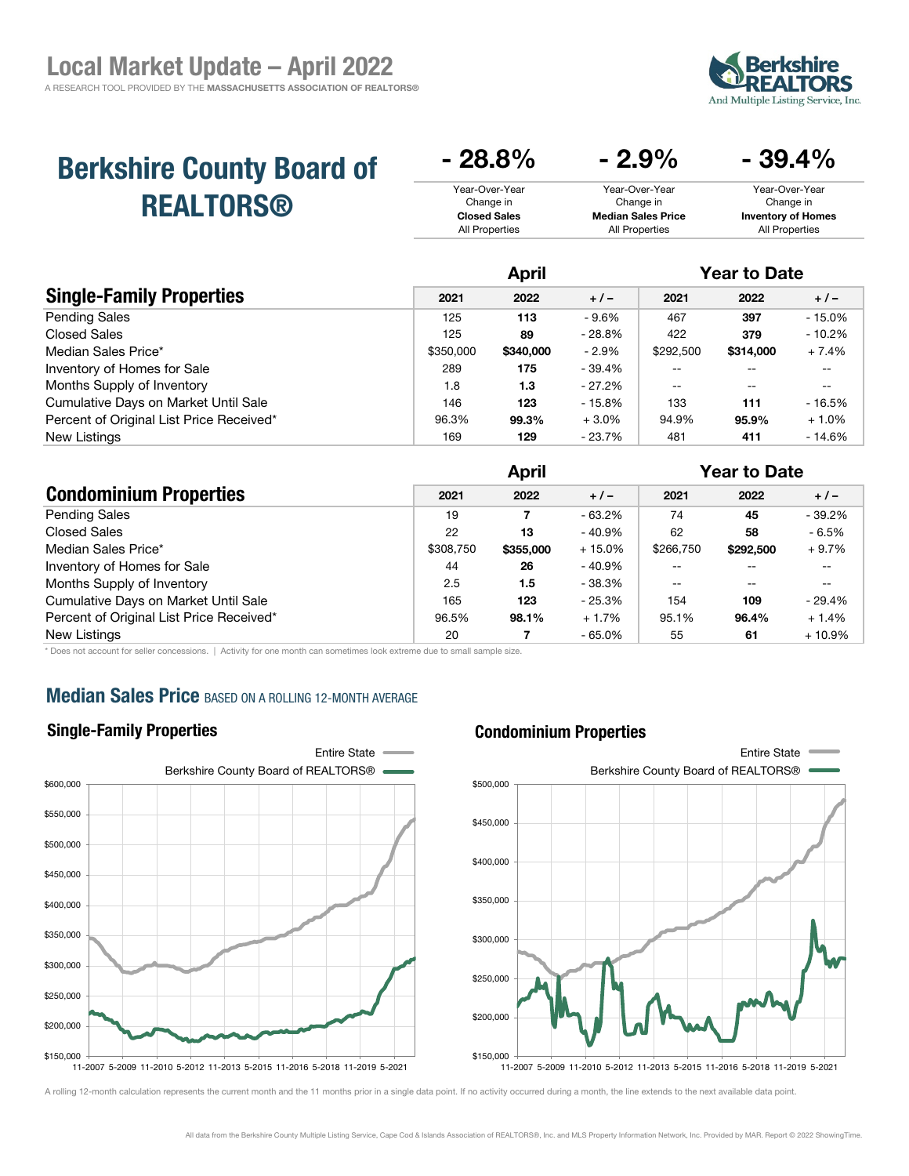

 $20.40/$ 

# Berkshire County Board of REALTORS®

| – 2.J 70                  | - 99.470                  |
|---------------------------|---------------------------|
| Year-Over-Year            | Year-Over-Year            |
| Change in                 | Change in                 |
| <b>Median Sales Price</b> | <b>Inventory of Homes</b> |
| All Properties            | All Properties            |
|                           |                           |

 $\Omega$ 

|                                          | April     |           |          | <b>Year to Date</b> |           |          |
|------------------------------------------|-----------|-----------|----------|---------------------|-----------|----------|
| <b>Single-Family Properties</b>          | 2021      | 2022      | $+1-$    | 2021                | 2022      | $+/-$    |
| <b>Pending Sales</b>                     | 125       | 113       | $-9.6%$  | 467                 | 397       | $-15.0%$ |
| Closed Sales                             | 125       | 89        | $-28.8%$ | 422                 | 379       | $-10.2%$ |
| Median Sales Price*                      | \$350,000 | \$340,000 | $-2.9\%$ | \$292,500           | \$314,000 | $+7.4%$  |
| Inventory of Homes for Sale              | 289       | 175       | - 39.4%  | --                  |           | --       |
| Months Supply of Inventory               | 1.8       | 1.3       | - 27.2%  | --                  | --        | $- -$    |
| Cumulative Days on Market Until Sale     | 146       | 123       | - 15.8%  | 133                 | 111       | $-16.5%$ |
| Percent of Original List Price Received* | 96.3%     | 99.3%     | $+3.0%$  | 94.9%               | 95.9%     | $+1.0%$  |
| <b>New Listings</b>                      | 169       | 129       | - 23.7%  | 481                 | 411       | $-14.6%$ |

**00.8** 

|                                          | <b>April</b> |           |           | <b>Year to Date</b> |           |          |
|------------------------------------------|--------------|-----------|-----------|---------------------|-----------|----------|
| <b>Condominium Properties</b>            | 2021         | 2022      | $+1-$     | 2021                | 2022      | $+/-$    |
| <b>Pending Sales</b>                     | 19           | 7         | - 63.2%   | 74                  | 45        | $-39.2%$ |
| <b>Closed Sales</b>                      | 22           | 13        | $-40.9\%$ | 62                  | 58        | $-6.5%$  |
| Median Sales Price*                      | \$308,750    | \$355,000 | $+15.0%$  | \$266,750           | \$292,500 | $+9.7%$  |
| Inventory of Homes for Sale              | 44           | 26        | $-40.9\%$ |                     |           | --       |
| Months Supply of Inventory               | 2.5          | 1.5       | - 38.3%   |                     | --        | --       |
| Cumulative Days on Market Until Sale     | 165          | 123       | $-25.3%$  | 154                 | 109       | $-29.4%$ |
| Percent of Original List Price Received* | 96.5%        | 98.1%     | $+1.7%$   | 95.1%               | 96.4%     | $+1.4%$  |
| New Listings                             | 20           |           | $-65.0\%$ | 55                  | 61        | $+10.9%$ |

\* Does not account for seller concessions. | Activity for one month can sometimes look extreme due to small sample size.

# **Median Sales Price BASED ON A ROLLING 12-MONTH AVERAGE**

### Single-Family Properties



#### Condominium Properties

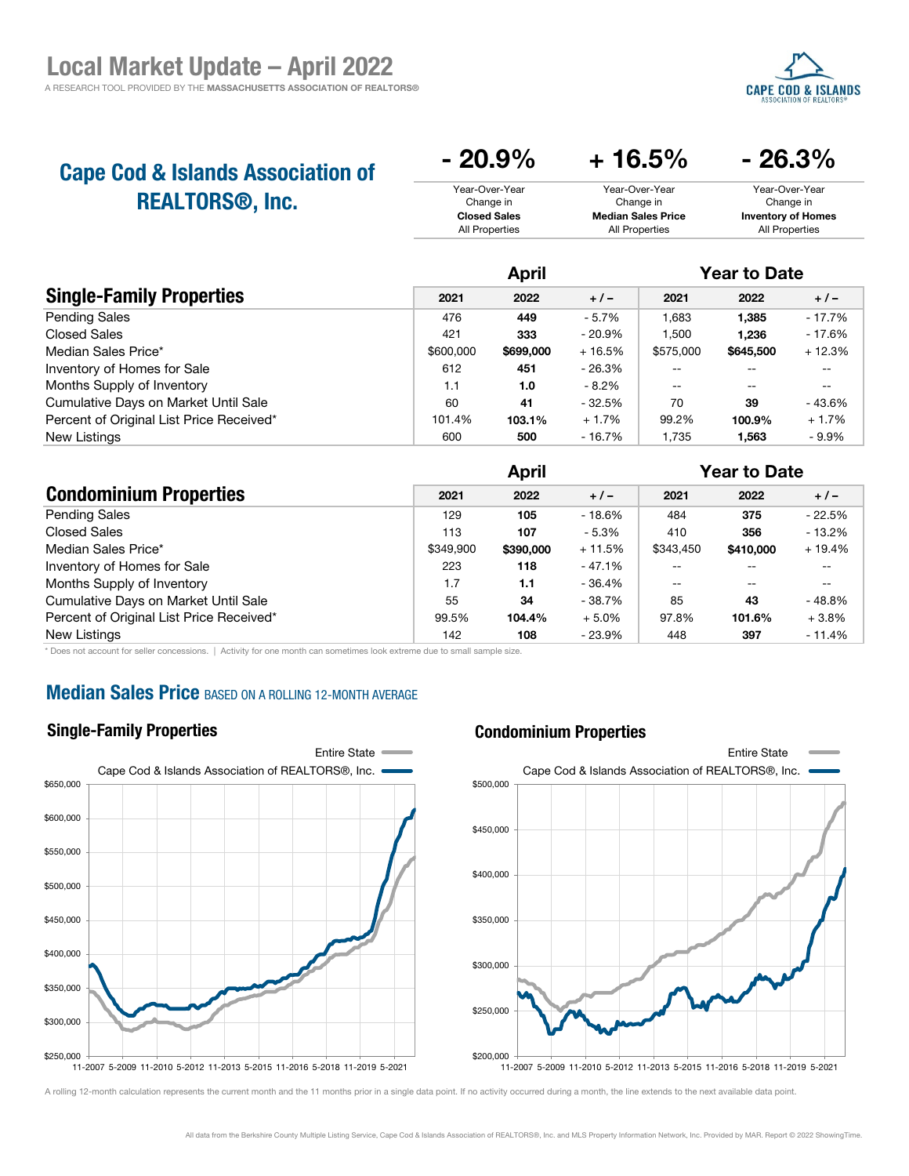

| <b>Cape Cod &amp; Islands Association of</b> | $-20.9\%$           | $+16.5%$                  | $-26.3\%$                 |
|----------------------------------------------|---------------------|---------------------------|---------------------------|
| <b>REALTORS<sup>®</sup>, Inc.</b>            | Year-Over-Year      | Year-Over-Year            | Year-Over-Year            |
|                                              | Change in           | Change in                 | Change in                 |
|                                              | <b>Closed Sales</b> | <b>Median Sales Price</b> | <b>Inventory of Homes</b> |
|                                              | All Properties      | All Properties            | All Properties            |

|                                          | <b>April</b> |           |           | <b>Year to Date</b> |           |          |  |
|------------------------------------------|--------------|-----------|-----------|---------------------|-----------|----------|--|
| <b>Single-Family Properties</b>          | 2021         | 2022      | $+/-$     | 2021                | 2022      | $+/-$    |  |
| <b>Pending Sales</b>                     | 476          | 449       | $-5.7%$   | 1,683               | 1,385     | $-17.7%$ |  |
| Closed Sales                             | 421          | 333       | $-20.9\%$ | 1.500               | 1.236     | $-17.6%$ |  |
| Median Sales Price*                      | \$600,000    | \$699,000 | $+16.5%$  | \$575,000           | \$645,500 | $+12.3%$ |  |
| Inventory of Homes for Sale              | 612          | 451       | - 26.3%   |                     |           |          |  |
| Months Supply of Inventory               | 1.1          | 1.0       | $-8.2%$   | --                  | --        | --       |  |
| Cumulative Days on Market Until Sale     | 60           | 41        | $-32.5%$  | 70                  | 39        | - 43.6%  |  |
| Percent of Original List Price Received* | 101.4%       | 103.1%    | $+1.7%$   | 99.2%               | 100.9%    | $+1.7%$  |  |
| New Listings                             | 600          | 500       | - 16.7%   | 1.735               | 1,563     | $-9.9%$  |  |

|                                          | <b>April</b> |           |          | <b>Year to Date</b> |           |           |
|------------------------------------------|--------------|-----------|----------|---------------------|-----------|-----------|
| <b>Condominium Properties</b>            | 2021         | 2022      | $+1-$    | 2021                | 2022      | $+/-$     |
| <b>Pending Sales</b>                     | 129          | 105       | - 18.6%  | 484                 | 375       | $-22.5%$  |
| <b>Closed Sales</b>                      | 113          | 107       | $-5.3%$  | 410                 | 356       | $-13.2\%$ |
| Median Sales Price*                      | \$349.900    | \$390,000 | $+11.5%$ | \$343.450           | \$410,000 | $+19.4%$  |
| Inventory of Homes for Sale              | 223          | 118       | $-47.1%$ |                     |           | --        |
| Months Supply of Inventory               | 1.7          | 1.1       | $-36.4%$ | $- -$               | --        | --        |
| Cumulative Days on Market Until Sale     | 55           | 34        | - 38.7%  | 85                  | 43        | $-48.8%$  |
| Percent of Original List Price Received* | 99.5%        | 104.4%    | $+5.0%$  | 97.8%               | 101.6%    | $+3.8%$   |
| New Listings                             | 142          | 108       | - 23.9%  | 448                 | 397       | $-11.4%$  |

\* Does not account for seller concessions. | Activity for one month can sometimes look extreme due to small sample size.

### **Median Sales Price BASED ON A ROLLING 12-MONTH AVERAGE**

#### Single-Family Properties

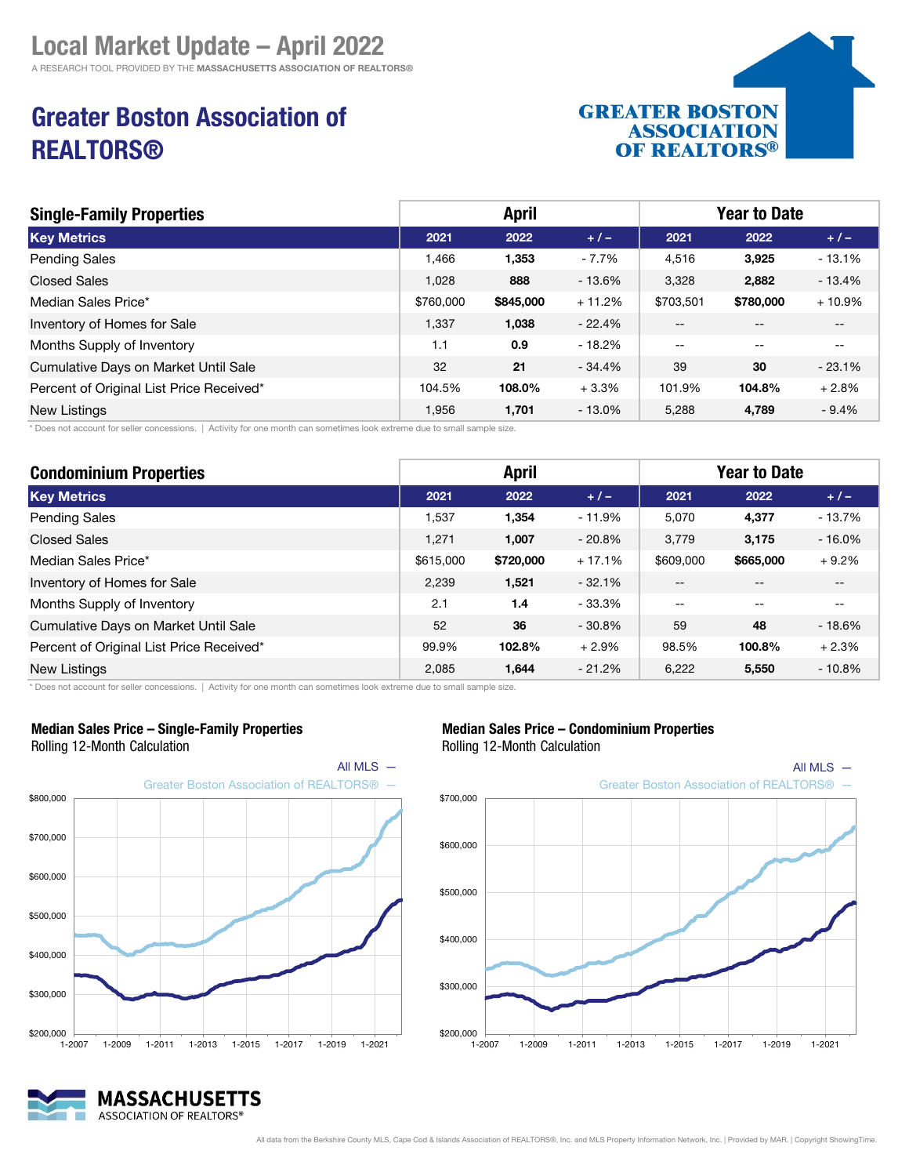# Greater Boston Association of REALTORS®



| <b>Single-Family Properties</b>          | <b>April</b> |           |           | <b>Year to Date</b> |           |          |
|------------------------------------------|--------------|-----------|-----------|---------------------|-----------|----------|
| <b>Key Metrics</b>                       | 2021         | 2022      | $+/-$     | 2021                | 2022      | $+/-$    |
| <b>Pending Sales</b>                     | 1,466        | 1,353     | - 7.7%    | 4,516               | 3,925     | $-13.1%$ |
| <b>Closed Sales</b>                      | 1.028        | 888       | $-13.6%$  | 3,328               | 2,882     | $-13.4%$ |
| Median Sales Price*                      | \$760,000    | \$845,000 | $+11.2%$  | \$703,501           | \$780,000 | $+10.9%$ |
| Inventory of Homes for Sale              | 1,337        | 1,038     | $-22.4%$  | --                  |           | $- -$    |
| Months Supply of Inventory               | 1.1          | 0.9       | $-18.2%$  | $- -$               | $- -$     | $- -$    |
| Cumulative Days on Market Until Sale     | 32           | 21        | $-34.4%$  | 39                  | 30        | $-23.1%$ |
| Percent of Original List Price Received* | 104.5%       | 108.0%    | $+3.3%$   | 101.9%              | 104.8%    | $+2.8%$  |
| New Listings                             | 1,956        | 1,701     | $-13.0\%$ | 5,288               | 4,789     | $-9.4%$  |

\* Does not account for seller concessions. | Activity for one month can sometimes look extreme due to small sample size.

| <b>Condominium Properties</b>            |           | <b>April</b> |          |                   | <b>Year to Date</b> |           |
|------------------------------------------|-----------|--------------|----------|-------------------|---------------------|-----------|
| <b>Key Metrics</b>                       | 2021      | 2022         | $+1-$    | 2021              | 2022                | $+1-$     |
| Pending Sales                            | 1,537     | 1,354        | $-11.9%$ | 5,070             | 4,377               | $-13.7%$  |
| <b>Closed Sales</b>                      | 1,271     | 1,007        | $-20.8%$ | 3,779             | 3,175               | $-16.0\%$ |
| Median Sales Price*                      | \$615,000 | \$720,000    | $+17.1%$ | \$609,000         | \$665,000           | $+9.2%$   |
| Inventory of Homes for Sale              | 2,239     | 1,521        | $-32.1%$ | $- -$             | $- -$               | $- -$     |
| Months Supply of Inventory               | 2.1       | 1.4          | $-33.3%$ | $\qquad \qquad -$ | $- -$               | $- -$     |
| Cumulative Days on Market Until Sale     | 52        | 36           | $-30.8%$ | 59                | 48                  | $-18.6%$  |
| Percent of Original List Price Received* | 99.9%     | 102.8%       | $+2.9%$  | 98.5%             | 100.8%              | $+2.3%$   |
| New Listings                             | 2,085     | 1,644        | $-21.2%$ | 6.222             | 5,550               | $-10.8%$  |

\* Does not account for seller concessions. | Activity for one month can sometimes look extreme due to small sample size.



#### Median Sales Price – Single-Family Properties

Rolling 12-Month Calculation



### Median Sales Price – Condominium Properties

Rolling 12-Month Calculation



All data from the Berkshire County MLS, Cape Cod & Islands Association of REALTORS®, Inc. and MLS Property Information Network, Inc. | Provided by MAR. | Copyright ShowingTime.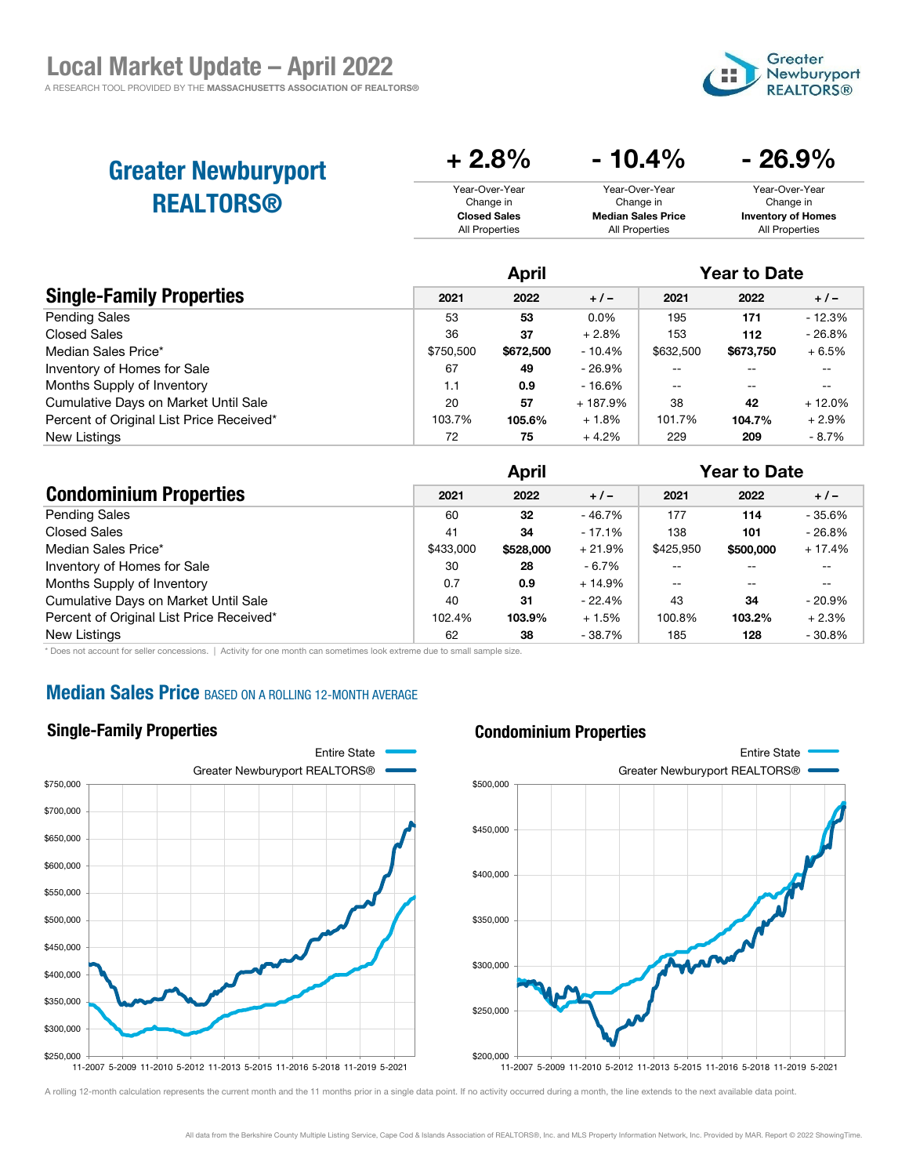

| <b>Greater Newburyport</b> | $+2.8%$             | $-10.4\%$                 | $-26.9\%$                 |
|----------------------------|---------------------|---------------------------|---------------------------|
| <b>REALTORS®</b>           | Year-Over-Year      | Year-Over-Year            | Year-Over-Year            |
|                            | Change in           | Change in                 | Change in                 |
|                            | <b>Closed Sales</b> | <b>Median Sales Price</b> | <b>Inventory of Homes</b> |
|                            | All Properties      | All Properties            | All Properties            |

|                                          | April     |           |          | <b>Year to Date</b> |           |          |
|------------------------------------------|-----------|-----------|----------|---------------------|-----------|----------|
| <b>Single-Family Properties</b>          | 2021      | 2022      | $+/-$    | 2021                | 2022      | $+/-$    |
| <b>Pending Sales</b>                     | 53        | 53        | $0.0\%$  | 195                 | 171       | $-12.3%$ |
| <b>Closed Sales</b>                      | 36        | 37        | $+2.8%$  | 153                 | 112       | $-26.8%$ |
| Median Sales Price*                      | \$750,500 | \$672,500 | - 10.4%  | \$632,500           | \$673,750 | $+6.5%$  |
| Inventory of Homes for Sale              | 67        | 49        | - 26.9%  |                     |           | --       |
| Months Supply of Inventory               | 1.1       | 0.9       | - 16.6%  |                     | --        |          |
| Cumulative Days on Market Until Sale     | 20        | 57        | + 187.9% | 38                  | 42        | $+12.0%$ |
| Percent of Original List Price Received* | 103.7%    | 105.6%    | $+1.8%$  | 101.7%              | 104.7%    | $+2.9%$  |
| New Listings                             | 72        | 75        | $+4.2%$  | 229                 | 209       | $-8.7\%$ |

|                                          | April     |           |           | <b>Year to Date</b> |           |           |
|------------------------------------------|-----------|-----------|-----------|---------------------|-----------|-----------|
| <b>Condominium Properties</b>            | 2021      | 2022      | $+/-$     | 2021                | 2022      | $+/-$     |
| <b>Pending Sales</b>                     | 60        | 32        | $-46.7\%$ | 177                 | 114       | $-35.6%$  |
| <b>Closed Sales</b>                      | 41        | 34        | $-17.1%$  | 138                 | 101       | $-26.8%$  |
| Median Sales Price*                      | \$433,000 | \$528,000 | $+21.9%$  | \$425,950           | \$500,000 | $+17.4%$  |
| Inventory of Homes for Sale              | 30        | 28        | - 6.7%    |                     |           |           |
| Months Supply of Inventory               | 0.7       | 0.9       | $+14.9%$  | $- -$               | $- -$     |           |
| Cumulative Days on Market Until Sale     | 40        | 31        | $-22.4\%$ | 43                  | 34        | - 20.9%   |
| Percent of Original List Price Received* | 102.4%    | 103.9%    | $+1.5%$   | 100.8%              | 103.2%    | $+2.3%$   |
| New Listings                             | 62        | 38        | - 38.7%   | 185                 | 128       | $-30.8\%$ |

\* Does not account for seller concessions. | Activity for one month can sometimes look extreme due to small sample size.

# **Median Sales Price BASED ON A ROLLING 12-MONTH AVERAGE**

#### Single-Family Properties

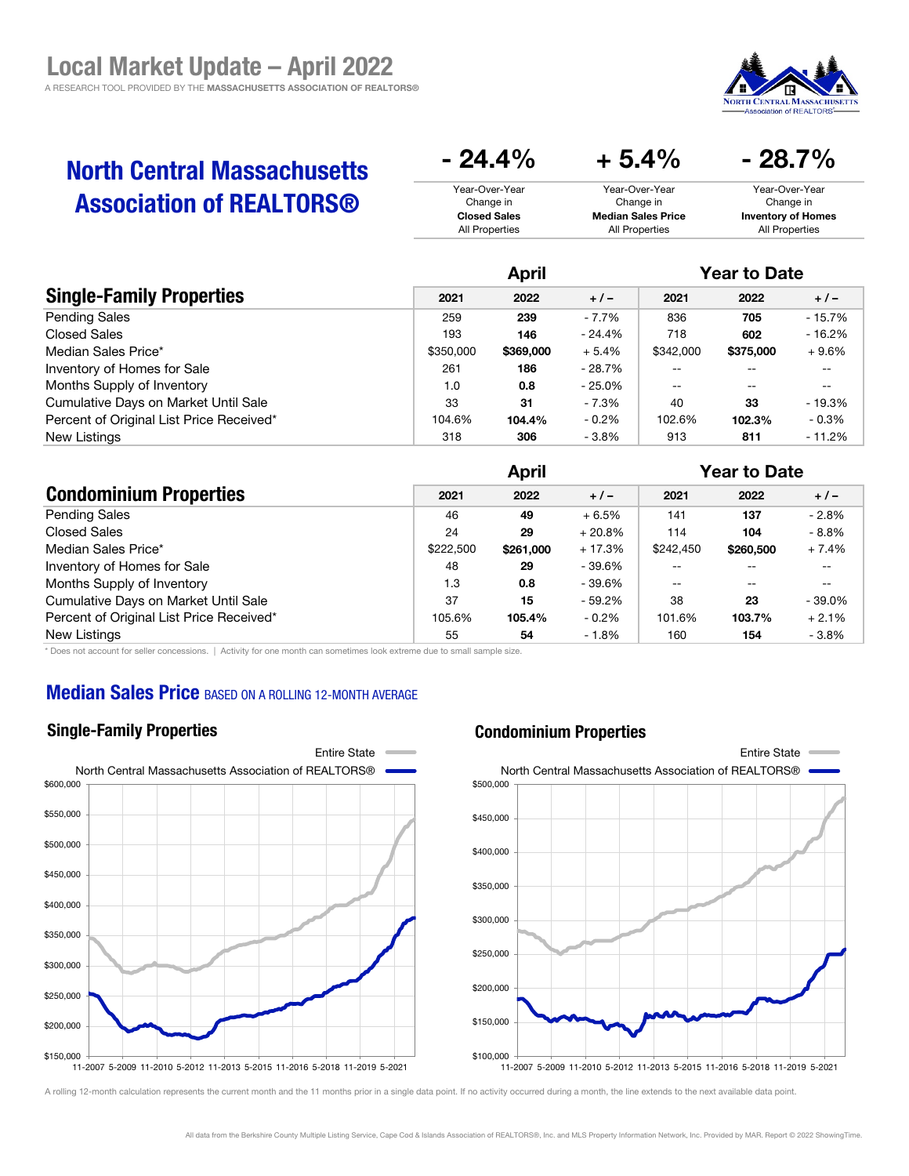

20.7 م

# North Central Massachusetts Association of REALTORS®

| $-24.4\%$           | $+5.4%$                   | $-28.7\%$                 |
|---------------------|---------------------------|---------------------------|
| Year-Over-Year      | Year-Over-Year            | Year-Over-Year            |
| Change in           | Change in                 | Change in                 |
| <b>Closed Sales</b> | <b>Median Sales Price</b> | <b>Inventory of Homes</b> |
| All Properties      | All Properties            | All Properties            |

|                                          | April     |           |           | <b>Year to Date</b> |           |          |
|------------------------------------------|-----------|-----------|-----------|---------------------|-----------|----------|
| <b>Single-Family Properties</b>          | 2021      | 2022      | $+1-$     | 2021                | 2022      | $+/-$    |
| <b>Pending Sales</b>                     | 259       | 239       | - 7.7%    | 836                 | 705       | $-15.7%$ |
| <b>Closed Sales</b>                      | 193       | 146       | - 24.4%   | 718                 | 602       | $-16.2%$ |
| Median Sales Price*                      | \$350,000 | \$369,000 | $+5.4%$   | \$342,000           | \$375,000 | $+9.6%$  |
| Inventory of Homes for Sale              | 261       | 186       | - 28.7%   | --                  | --        | $- -$    |
| Months Supply of Inventory               | 1.0       | 0.8       | $-25.0\%$ | $- -$               | --        | $- -$    |
| Cumulative Days on Market Until Sale     | 33        | 31        | - 7.3%    | 40                  | 33        | $-19.3%$ |
| Percent of Original List Price Received* | 104.6%    | 104.4%    | $-0.2\%$  | 102.6%              | 102.3%    | - 0.3%   |
| New Listings                             | 318       | 306       | $-3.8%$   | 913                 | 811       | $-11.2%$ |

|                                          | <b>April</b> |           |          | <b>Year to Date</b> |           |           |
|------------------------------------------|--------------|-----------|----------|---------------------|-----------|-----------|
| <b>Condominium Properties</b>            | 2021         | 2022      | $+1-$    | 2021                | 2022      | $+/-$     |
| <b>Pending Sales</b>                     | 46           | 49        | $+6.5%$  | 141                 | 137       | $-2.8%$   |
| Closed Sales                             | 24           | 29        | $+20.8%$ | 114                 | 104       | $-8.8\%$  |
| Median Sales Price*                      | \$222,500    | \$261,000 | $+17.3%$ | \$242,450           | \$260,500 | $+7.4%$   |
| Inventory of Homes for Sale              | 48           | 29        | - 39.6%  |                     | $- -$     | --        |
| Months Supply of Inventory               | 1.3          | 0.8       | - 39.6%  | $-$                 | $- -$     | --        |
| Cumulative Days on Market Until Sale     | 37           | 15        | $-59.2%$ | 38                  | 23        | $-39.0\%$ |
| Percent of Original List Price Received* | 105.6%       | 105.4%    | $-0.2%$  | 101.6%              | 103.7%    | $+2.1%$   |
| New Listings                             | 55           | 54        | $-1.8%$  | 160                 | 154       | $-3.8\%$  |

\* Does not account for seller concessions. | Activity for one month can sometimes look extreme due to small sample size.

### **Median Sales Price BASED ON A ROLLING 12-MONTH AVERAGE**

#### Single-Family Properties



#### Condominium Properties

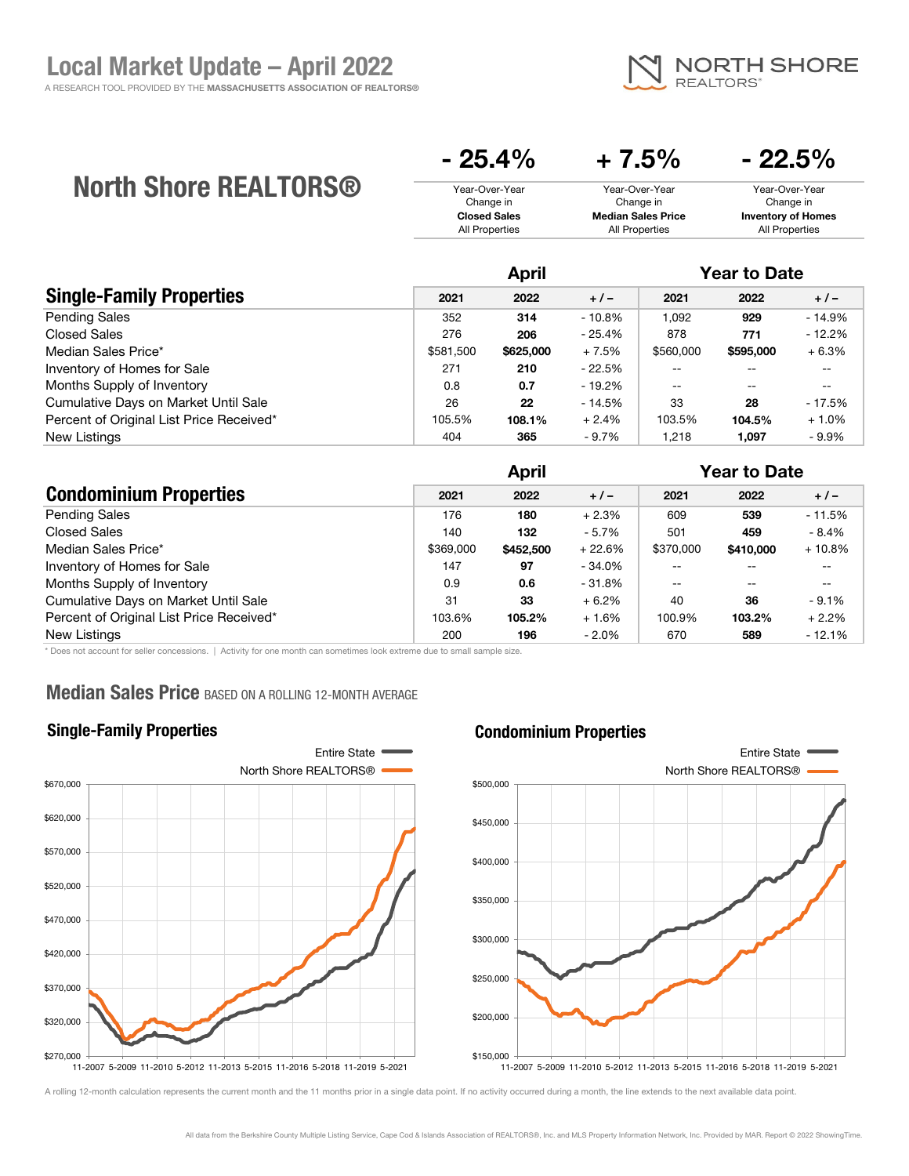

# North Shore REALTORS®

| $-25.4\%$                   | $+7.5%$                     | $-22.5\%$                   |
|-----------------------------|-----------------------------|-----------------------------|
| Year-Over-Year<br>Change in | Year-Over-Year<br>Change in | Year-Over-Year<br>Change in |
| <b>Closed Sales</b>         | <b>Median Sales Price</b>   | <b>Inventory of Homes</b>   |
| All Properties              | <b>All Properties</b>       | All Properties              |

|                                          |           | April     |          |           | <b>Year to Date</b> |          |
|------------------------------------------|-----------|-----------|----------|-----------|---------------------|----------|
| <b>Single-Family Properties</b>          | 2021      | 2022      | $+1-$    | 2021      | 2022                | $+/-$    |
| <b>Pending Sales</b>                     | 352       | 314       | $-10.8%$ | 1,092     | 929                 | $-14.9%$ |
| Closed Sales                             | 276       | 206       | - 25.4%  | 878       | 771                 | $-12.2%$ |
| Median Sales Price*                      | \$581,500 | \$625,000 | $+7.5%$  | \$560,000 | \$595,000           | $+6.3%$  |
| Inventory of Homes for Sale              | 271       | 210       | - 22.5%  | --        | --                  | $- -$    |
| Months Supply of Inventory               | 0.8       | 0.7       | - 19.2%  | $-$       | --                  | $- -$    |
| Cumulative Days on Market Until Sale     | 26        | 22        | - 14.5%  | 33        | 28                  | $-17.5%$ |
| Percent of Original List Price Received* | 105.5%    | 108.1%    | $+2.4%$  | 103.5%    | 104.5%              | $+1.0%$  |
| New Listings                             | 404       | 365       | $-9.7%$  | 1.218     | 1.097               | $-9.9\%$ |

|                                          | <b>April</b> |           |          | <b>Year to Date</b> |           |          |
|------------------------------------------|--------------|-----------|----------|---------------------|-----------|----------|
| <b>Condominium Properties</b>            | 2021         | 2022      | $+/-$    | 2021                | 2022      | $+/-$    |
| <b>Pending Sales</b>                     | 176          | 180       | $+2.3%$  | 609                 | 539       | $-11.5%$ |
| Closed Sales                             | 140          | 132       | $-5.7\%$ | 501                 | 459       | $-8.4\%$ |
| Median Sales Price*                      | \$369,000    | \$452,500 | $+22.6%$ | \$370,000           | \$410,000 | $+10.8%$ |
| Inventory of Homes for Sale              | 147          | 97        | - 34.0%  |                     |           | --       |
| Months Supply of Inventory               | 0.9          | 0.6       | - 31.8%  | --                  | $- -$     | $- -$    |
| Cumulative Days on Market Until Sale     | 31           | 33        | $+6.2%$  | 40                  | 36        | $-9.1%$  |
| Percent of Original List Price Received* | 103.6%       | 105.2%    | $+1.6%$  | 100.9%              | 103.2%    | $+2.2%$  |
| New Listings                             | 200          | 196       | $-2.0\%$ | 670                 | 589       | $-12.1%$ |

\* Does not account for seller concessions. | Activity for one month can sometimes look extreme due to small sample size.

### **Median Sales Price BASED ON A ROLLING 12-MONTH AVERAGE**

### Single-Family Properties

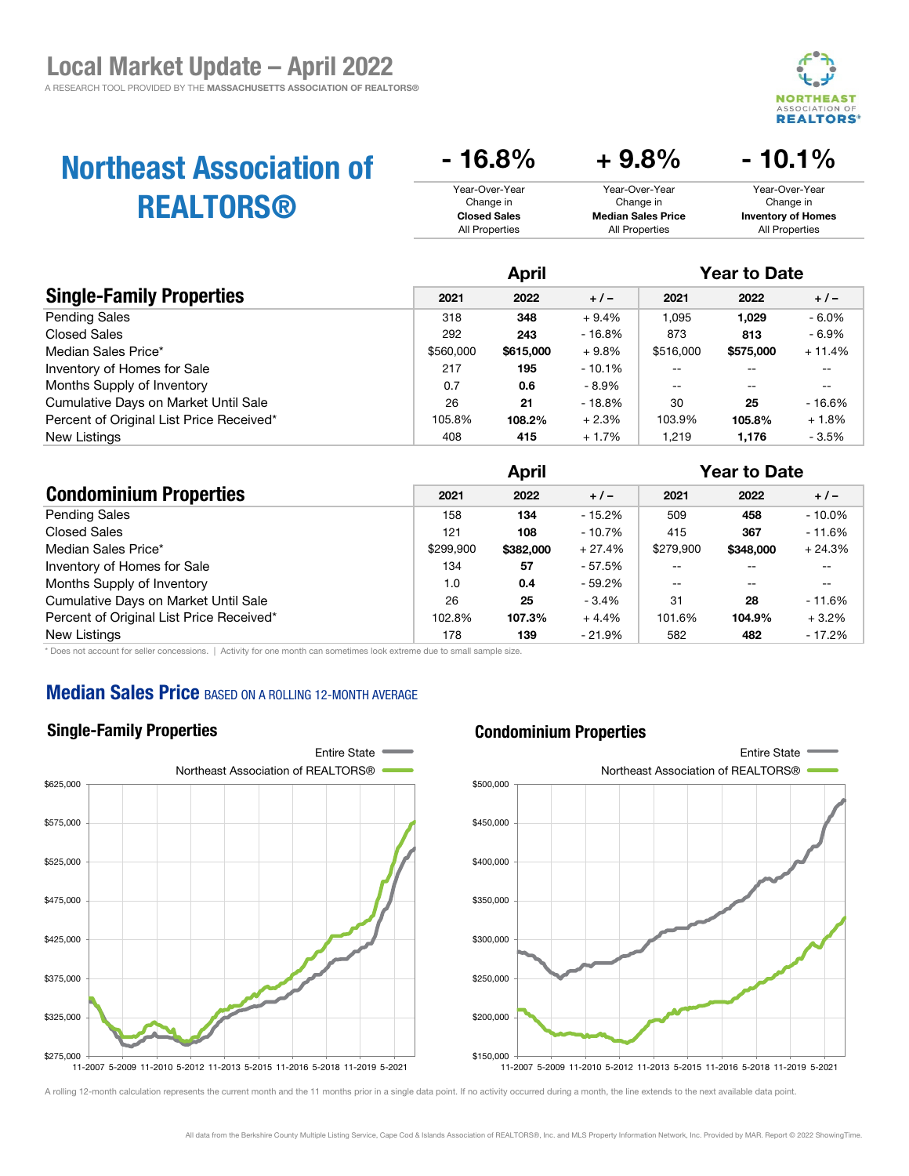

- 10.1%

# Northeast Association of REALTORS®

| $-16.8\%$                   | $+9.8\%$                    | $-10.1\%$                   |
|-----------------------------|-----------------------------|-----------------------------|
| Year-Over-Year<br>Change in | Year-Over-Year<br>Change in | Year-Over-Year<br>Change in |
| <b>Closed Sales</b>         | <b>Median Sales Price</b>   | <b>Inventory of Homes</b>   |
| All Properties              | All Properties              | All Properties              |

|                                          | April     |           |           | <b>Year to Date</b> |           |          |
|------------------------------------------|-----------|-----------|-----------|---------------------|-----------|----------|
| <b>Single-Family Properties</b>          | 2021      | 2022      | $+1-$     | 2021                | 2022      | $+/-$    |
| <b>Pending Sales</b>                     | 318       | 348       | $+9.4%$   | 1,095               | 1,029     | $-6.0\%$ |
| Closed Sales                             | 292       | 243       | $-16.8%$  | 873                 | 813       | - 6.9%   |
| Median Sales Price*                      | \$560,000 | \$615,000 | $+9.8%$   | \$516,000           | \$575,000 | $+11.4%$ |
| Inventory of Homes for Sale              | 217       | 195       | $-10.1\%$ | --                  | --        | $- -$    |
| Months Supply of Inventory               | 0.7       | 0.6       | - 8.9%    | $-$                 | --        | $- -$    |
| Cumulative Days on Market Until Sale     | 26        | 21        | - 18.8%   | 30                  | 25        | $-16.6%$ |
| Percent of Original List Price Received* | 105.8%    | 108.2%    | $+2.3%$   | 103.9%              | 105.8%    | $+1.8%$  |
| New Listings                             | 408       | 415       | + 1.7%    | 1.219               | 1,176     | $-3.5%$  |

|                                          |           | <b>April</b> |          |           | <b>Year to Date</b> |           |  |
|------------------------------------------|-----------|--------------|----------|-----------|---------------------|-----------|--|
| <b>Condominium Properties</b>            | 2021      | 2022         | $+/-$    | 2021      | 2022                | $+/-$     |  |
| <b>Pending Sales</b>                     | 158       | 134          | - 15.2%  | 509       | 458                 | $-10.0\%$ |  |
| <b>Closed Sales</b>                      | 121       | 108          | $-10.7%$ | 415       | 367                 | $-11.6%$  |  |
| Median Sales Price*                      | \$299.900 | \$382,000    | $+27.4%$ | \$279,900 | \$348,000           | $+24.3%$  |  |
| Inventory of Homes for Sale              | 134       | 57           | - 57.5%  |           |                     |           |  |
| Months Supply of Inventory               | 1.0       | 0.4          | $-59.2%$ |           | $- -$               | --        |  |
| Cumulative Days on Market Until Sale     | 26        | 25           | $-3.4%$  | 31        | 28                  | $-11.6\%$ |  |
| Percent of Original List Price Received* | 102.8%    | 107.3%       | $+4.4%$  | 101.6%    | 104.9%              | $+3.2%$   |  |
| New Listings                             | 178       | 139          | - 21.9%  | 582       | 482                 | $-17.2%$  |  |

\* Does not account for seller concessions. | Activity for one month can sometimes look extreme due to small sample size.

### **Median Sales Price BASED ON A ROLLING 12-MONTH AVERAGE**

#### Single-Family Properties



A rolling 12-month calculation represents the current month and the 11 months prior in a single data point. If no activity occurred during a month, the line extends to the next available data point.

#### Condominium Properties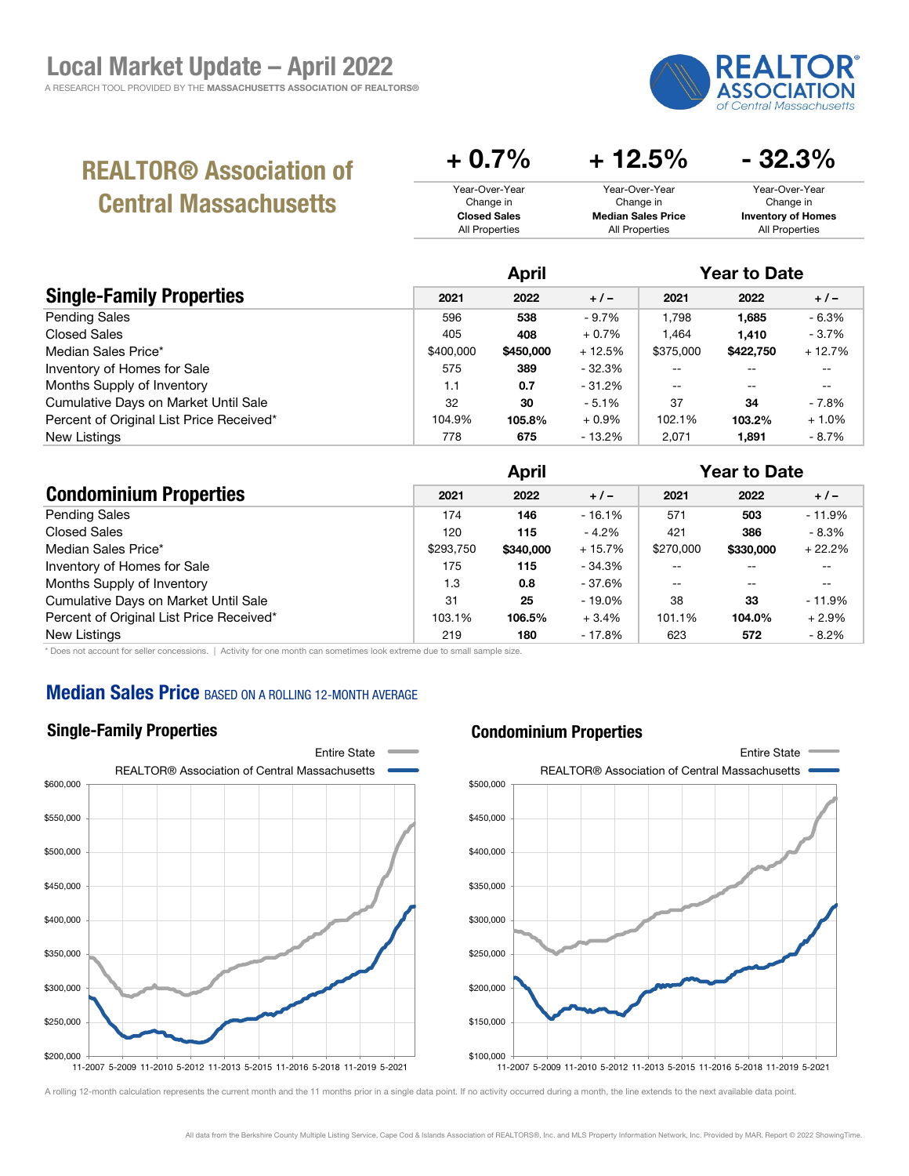

# REALTOR® Association of Central Massachusetts

| $+0.7\%$            | $+12.5\%$                 | $-32.3%$                  |
|---------------------|---------------------------|---------------------------|
| Year-Over-Year      | Year-Over-Year            | Year-Over-Year            |
| Change in           | Change in                 | Change in                 |
| <b>Closed Sales</b> | <b>Median Sales Price</b> | <b>Inventory of Homes</b> |
| All Properties      | All Properties            | All Properties            |
|                     |                           |                           |

|                                          | <b>April</b> |           |           | <b>Year to Date</b> |                          |          |
|------------------------------------------|--------------|-----------|-----------|---------------------|--------------------------|----------|
| <b>Single-Family Properties</b>          | 2021         | 2022      | $+/-$     | 2021                | 2022                     | $+/-$    |
| <b>Pending Sales</b>                     | 596          | 538       | $-9.7\%$  | 1.798               | 1,685                    | $-6.3%$  |
| <b>Closed Sales</b>                      | 405          | 408       | $+0.7%$   | .464                | 1.410                    | $-3.7%$  |
| Median Sales Price*                      | \$400,000    | \$450,000 | $+12.5%$  | \$375,000           | \$422,750                | $+12.7%$ |
| Inventory of Homes for Sale              | 575          | 389       | $-32.3%$  | --                  |                          |          |
| Months Supply of Inventory               | 1.1          | 0.7       | $-31.2\%$ | $-$                 | $\overline{\phantom{m}}$ | --       |
| Cumulative Days on Market Until Sale     | 32           | 30        | $-5.1%$   | 37                  | 34                       | - 7.8%   |
| Percent of Original List Price Received* | 104.9%       | 105.8%    | $+0.9%$   | 102.1%              | 103.2%                   | $+1.0%$  |
| New Listings                             | 778          | 675       | $-13.2%$  | 2.071               | 1.891                    | - 8.7%   |

|                                          |           | <b>April</b> |           |           | <b>Year to Date</b> |          |  |
|------------------------------------------|-----------|--------------|-----------|-----------|---------------------|----------|--|
| <b>Condominium Properties</b>            | 2021      | 2022         | $+/-$     | 2021      | 2022                | $+/-$    |  |
| <b>Pending Sales</b>                     | 174       | 146          | $-16.1%$  | 571       | 503                 | $-11.9%$ |  |
| Closed Sales                             | 120       | 115          | - 4.2%    | 421       | 386                 | $-8.3%$  |  |
| Median Sales Price*                      | \$293.750 | \$340,000    | $+15.7%$  | \$270,000 | \$330,000           | $+22.2%$ |  |
| Inventory of Homes for Sale              | 175       | 115          | - 34.3%   |           | --                  | --       |  |
| Months Supply of Inventory               | 1.3       | 0.8          | - 37.6%   |           | $- -$               | --       |  |
| Cumulative Days on Market Until Sale     | 31        | 25           | $-19.0\%$ | 38        | 33                  | $-11.9%$ |  |
| Percent of Original List Price Received* | 103.1%    | 106.5%       | $+3.4%$   | 101.1%    | 104.0%              | $+2.9%$  |  |
| New Listings                             | 219       | 180          | $-17.8%$  | 623       | 572                 | $-8.2\%$ |  |

\* Does not account for seller concessions. | Activity for one month can sometimes look extreme due to small sample size.

# **Median Sales Price BASED ON A ROLLING 12-MONTH AVERAGE**

# Single-Family Properties



#### Condominium Properties

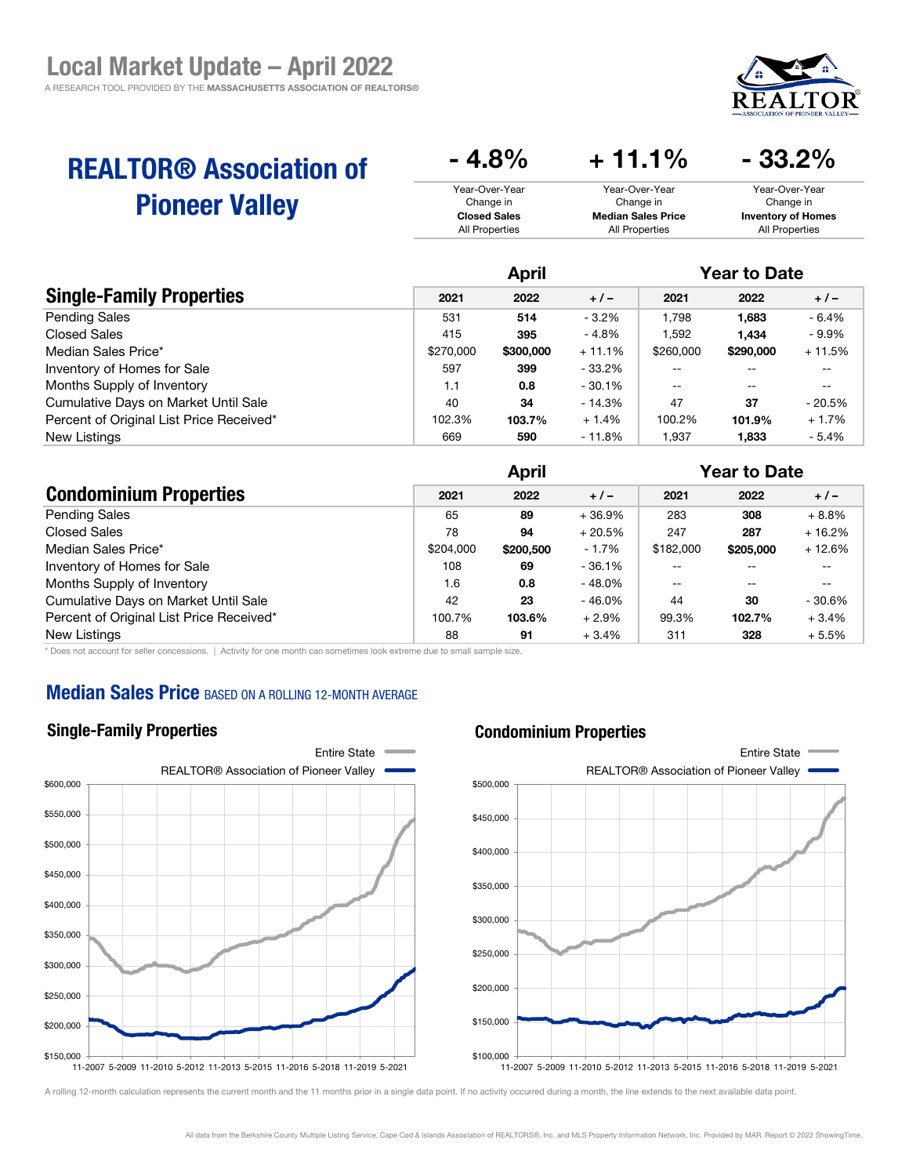

# REALTOR® Association of Pioneer Valley

| $-4.8\%$            | $+11.1%$                  | $-33.2\%$                 |
|---------------------|---------------------------|---------------------------|
| Year-Over-Year      | Year-Over-Year            | Year-Over-Year            |
| Change in           | Change in                 | Change in                 |
| <b>Closed Sales</b> | <b>Median Sales Price</b> | <b>Inventory of Homes</b> |
| All Properties      | All Properties            | All Properties            |

|                                          | <b>April</b> |           |           | <b>Year to Date</b> |           |          |
|------------------------------------------|--------------|-----------|-----------|---------------------|-----------|----------|
| <b>Single-Family Properties</b>          | 2021         | 2022      | $+/-$     | 2021                | 2022      | $+/-$    |
| <b>Pending Sales</b>                     | 531          | 514       | $-3.2%$   | 1.798               | 1,683     | - 6.4%   |
| Closed Sales                             | 415          | 395       | $-4.8%$   | .592                | 1.434     | - 9.9%   |
| Median Sales Price*                      | \$270,000    | \$300,000 | $+11.1%$  | \$260,000           | \$290,000 | $+11.5%$ |
| Inventory of Homes for Sale              | 597          | 399       | $-33.2\%$ | $-$                 |           |          |
| Months Supply of Inventory               | 1.1          | 0.8       | $-30.1%$  | $- -$               | $- -$     | --       |
| Cumulative Days on Market Until Sale     | 40           | 34        | $-14.3%$  | 47                  | 37        | $-20.5%$ |
| Percent of Original List Price Received* | 102.3%       | 103.7%    | $+1.4%$   | 100.2%              | 101.9%    | $+1.7%$  |
| New Listings                             | 669          | 590       | - 11.8%   | .937                | 1.833     | $-5.4%$  |

|                                          | <b>April</b> |           |           | <b>Year to Date</b> |           |          |
|------------------------------------------|--------------|-----------|-----------|---------------------|-----------|----------|
| <b>Condominium Properties</b>            | 2021         | 2022      | $+1-$     | 2021                | 2022      | $+/-$    |
| <b>Pending Sales</b>                     | 65           | 89        | $+36.9%$  | 283                 | 308       | $+8.8%$  |
| <b>Closed Sales</b>                      | 78           | 94        | $+20.5%$  | 247                 | 287       | $+16.2%$ |
| Median Sales Price*                      | \$204.000    | \$200,500 | $-1.7%$   | \$182,000           | \$205,000 | $+12.6%$ |
| Inventory of Homes for Sale              | 108          | 69        | $-36.1%$  |                     | $- -$     | --       |
| Months Supply of Inventory               | 1.6          | 0.8       | - 48.0%   | $-$                 | $- -$     | --       |
| Cumulative Days on Market Until Sale     | 42           | 23        | $-46.0\%$ | 44                  | 30        | $-30.6%$ |
| Percent of Original List Price Received* | 100.7%       | 103.6%    | $+2.9%$   | 99.3%               | 102.7%    | $+3.4%$  |
| New Listings                             | 88           | 91        | $+3.4%$   | 311                 | 328       | $+5.5%$  |

\* Does not account for seller concessions. | Activity for one month can sometimes look extreme due to small sample size.

### **Median Sales Price BASED ON A ROLLING 12-MONTH AVERAGE**

#### Single-Family Properties



#### Condominium Properties

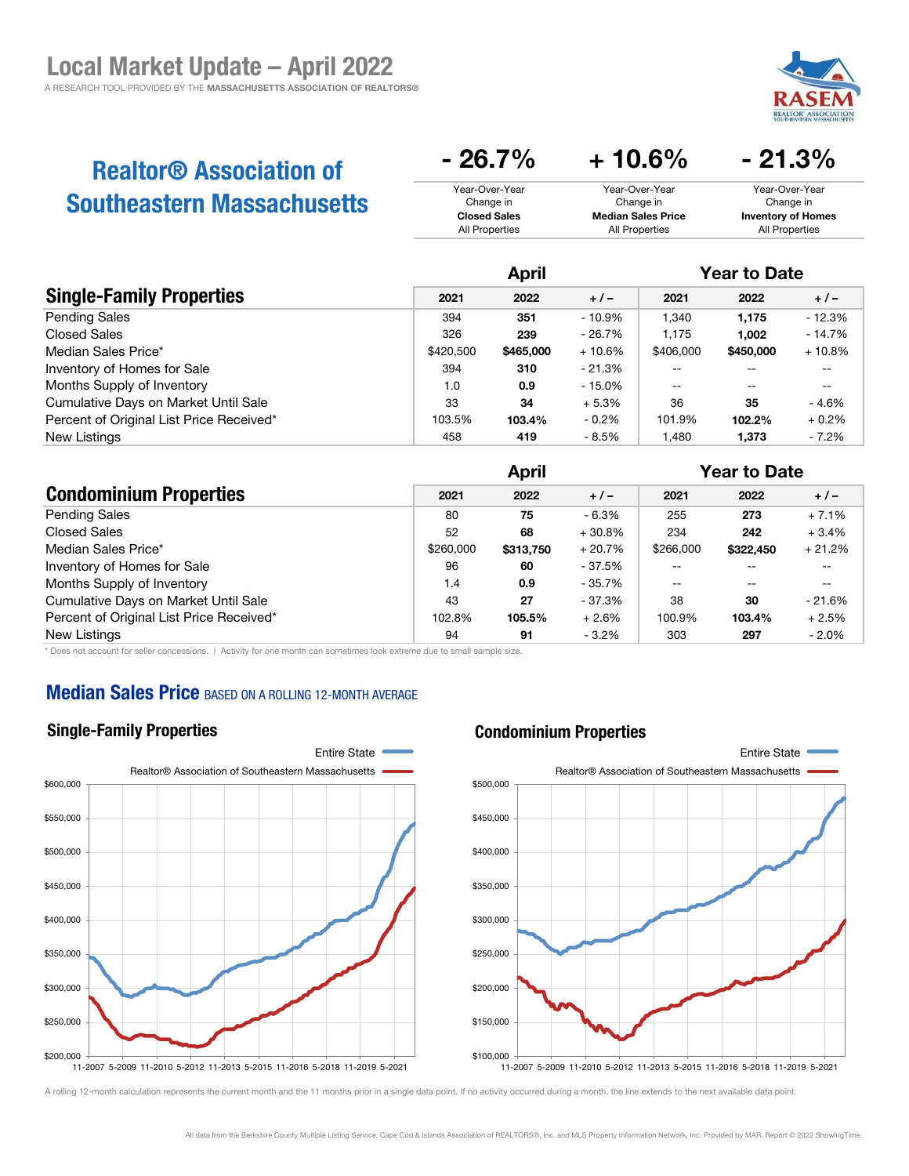

# Realtor® Association of Southeastern Massachusetts

| $-26.7\%$           | $+10.6\%$                 | $-21.3\%$                 |
|---------------------|---------------------------|---------------------------|
| Year-Over-Year      | Year-Over-Year            | Year-Over-Year            |
| Change in           | Change in                 | Change in                 |
| <b>Closed Sales</b> | <b>Median Sales Price</b> | <b>Inventory of Homes</b> |
| All Properties      | All Properties            | All Properties            |

|                                          | <b>April</b> |           |           | <b>Year to Date</b> |           |           |
|------------------------------------------|--------------|-----------|-----------|---------------------|-----------|-----------|
| <b>Single-Family Properties</b>          | 2021         | 2022      | $+1-$     | 2021                | 2022      | $+/-$     |
| <b>Pending Sales</b>                     | 394          | 351       | $-10.9\%$ | 1,340               | 1.175     | $-12.3%$  |
| <b>Closed Sales</b>                      | 326          | 239       | $-26.7%$  | 1.175               | 1.002     | $-14.7%$  |
| Median Sales Price*                      | \$420,500    | \$465,000 | $+10.6%$  | \$406,000           | \$450,000 | $+10.8\%$ |
| Inventory of Homes for Sale              | 394          | 310       | $-21.3%$  |                     |           | $- -$     |
| Months Supply of Inventory               | 1.0          | 0.9       | $-15.0\%$ | $-$                 | --        | $- -$     |
| Cumulative Days on Market Until Sale     | 33           | 34        | $+5.3%$   | 36                  | 35        | - 4.6%    |
| Percent of Original List Price Received* | 103.5%       | 103.4%    | $-0.2\%$  | 101.9%              | 102.2%    | $+0.2%$   |
| <b>New Listings</b>                      | 458          | 419       | - 8.5%    | ,480                | 1,373     | $-7.2%$   |

|                                          | <b>April</b> |           |          | <b>Year to Date</b> |           |                          |
|------------------------------------------|--------------|-----------|----------|---------------------|-----------|--------------------------|
| <b>Condominium Properties</b>            | 2021         | 2022      | $+/-$    | 2021                | 2022      | $+/-$                    |
| <b>Pending Sales</b>                     | 80           | 75        | $-6.3%$  | 255                 | 273       | $+7.1%$                  |
| <b>Closed Sales</b>                      | 52           | 68        | $+30.8%$ | 234                 | 242       | $+3.4%$                  |
| Median Sales Price*                      | \$260,000    | \$313,750 | $+20.7%$ | \$266,000           | \$322,450 | $+21.2%$                 |
| Inventory of Homes for Sale              | 96           | 60        | - 37.5%  |                     | $- -$     | --                       |
| Months Supply of Inventory               | 1.4          | 0.9       | - 35.7%  | $- -$               | $- -$     | $\overline{\phantom{m}}$ |
| Cumulative Days on Market Until Sale     | 43           | 27        | - 37.3%  | 38                  | 30        | $-21.6%$                 |
| Percent of Original List Price Received* | 102.8%       | 105.5%    | $+2.6%$  | 100.9%              | 103.4%    | $+2.5%$                  |
| New Listings                             | 94           | 91        | $-3.2%$  | 303                 | 297       | $-2.0\%$                 |

\* Does not account for seller concessions. | Activity for one month can sometimes look extreme due to small sample size.

# **Median Sales Price BASED ON A ROLLING 12-MONTH AVERAGE**

### Single-Family Properties

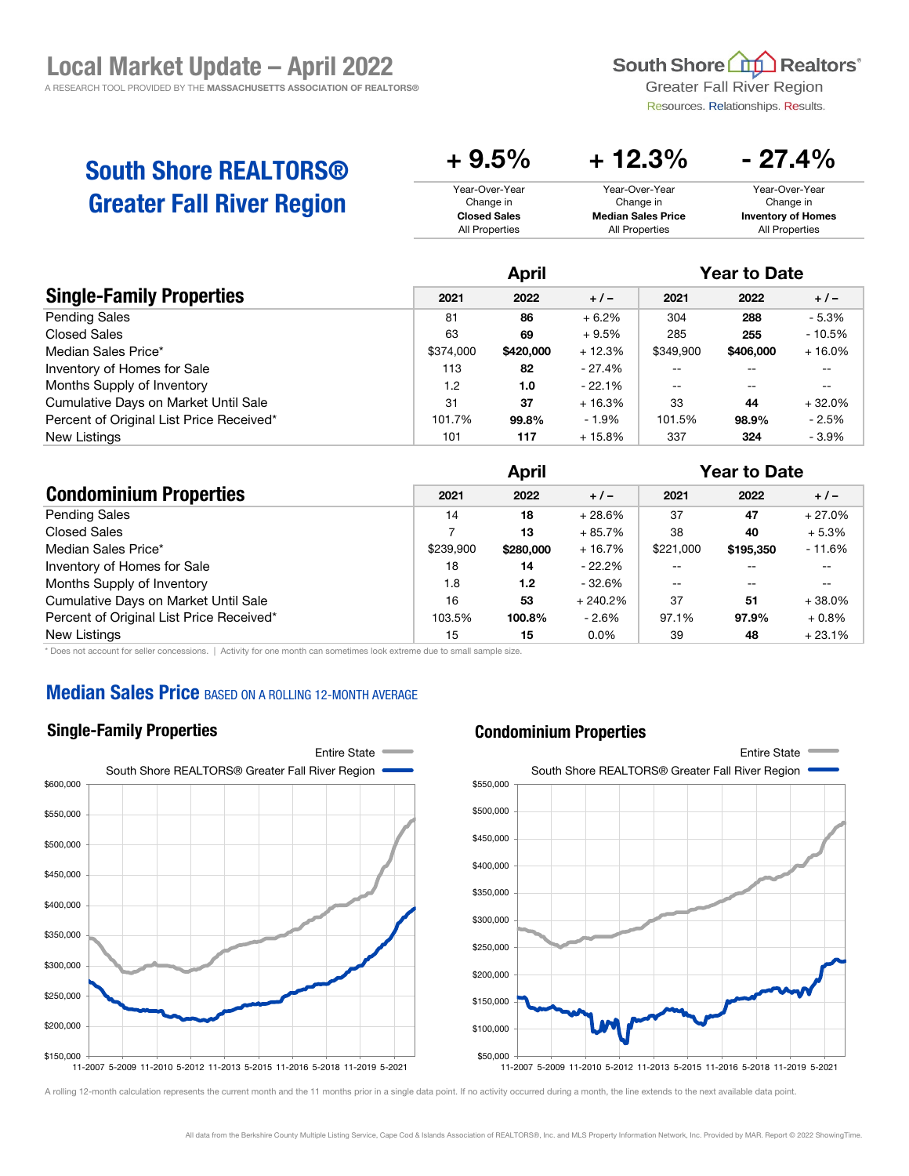South Shore **Ltd** Realtors<sup>®</sup>

**Greater Fall River Region** Resources. Relationships. Results.

 $- 27.4%$ 

# South Shore REALTORS® Greater Fall River Region

| T J.V /V            | T 14.V /V                 | $-$ 41. T $\prime$ 0      |
|---------------------|---------------------------|---------------------------|
| Year-Over-Year      | Year-Over-Year            | Year-Over-Year            |
| Change in           | Change in                 | Change in                 |
| <b>Closed Sales</b> | <b>Median Sales Price</b> | <b>Inventory of Homes</b> |
| All Properties      | All Properties            | All Properties            |
|                     |                           |                           |

 $+ 0.5\% + 12.3\%$ 

|                                          | <b>April</b> |           |          | <b>Year to Date</b> |           |           |
|------------------------------------------|--------------|-----------|----------|---------------------|-----------|-----------|
| <b>Single-Family Properties</b>          | 2021         | 2022      | $+/-$    | 2021                | 2022      | $+/-$     |
| <b>Pending Sales</b>                     | 81           | 86        | $+6.2%$  | 304                 | 288       | - 5.3%    |
| Closed Sales                             | 63           | 69        | $+9.5%$  | 285                 | 255       | $-10.5%$  |
| Median Sales Price*                      | \$374,000    | \$420,000 | $+12.3%$ | \$349,900           | \$406,000 | $+16.0\%$ |
| Inventory of Homes for Sale              | 113          | 82        | - 27.4%  | --                  | --        | $- -$     |
| Months Supply of Inventory               | 1.2          | 1.0       | $-22.1%$ | $- -$               | --        | $- -$     |
| Cumulative Days on Market Until Sale     | 31           | 37        | $+16.3%$ | 33                  | 44        | $+32.0%$  |
| Percent of Original List Price Received* | 101.7%       | 99.8%     | $-1.9\%$ | 101.5%              | 98.9%     | - 2.5%    |
| New Listings                             | 101          | 117       | $+15.8%$ | 337                 | 324       | $-3.9\%$  |

|                                          | April     |           |           | <b>Year to Date</b> |           |          |
|------------------------------------------|-----------|-----------|-----------|---------------------|-----------|----------|
| <b>Condominium Properties</b>            | 2021      | 2022      | $+/-$     | 2021                | 2022      | $+/-$    |
| <b>Pending Sales</b>                     | 14        | 18        | $+28.6%$  | 37                  | 47        | $+27.0%$ |
| Closed Sales                             |           | 13        | $+85.7%$  | 38                  | 40        | $+5.3%$  |
| Median Sales Price*                      | \$239,900 | \$280,000 | $+16.7%$  | \$221,000           | \$195,350 | $-11.6%$ |
| Inventory of Homes for Sale              | 18        | 14        | $-22.2\%$ |                     | $- -$     | $- -$    |
| Months Supply of Inventory               | 1.8       | 1.2       | - 32.6%   | --                  | $- -$     | $- -$    |
| Cumulative Days on Market Until Sale     | 16        | 53        | $+240.2%$ | 37                  | 51        | $+38.0%$ |
| Percent of Original List Price Received* | 103.5%    | 100.8%    | $-2.6\%$  | 97.1%               | 97.9%     | $+0.8\%$ |
| New Listings                             | 15        | 15        | $0.0\%$   | 39                  | 48        | $+23.1%$ |

\* Does not account for seller concessions. | Activity for one month can sometimes look extreme due to small sample size.

### **Median Sales Price BASED ON A ROLLING 12-MONTH AVERAGE**

#### Single-Family Properties



#### Condominium Properties